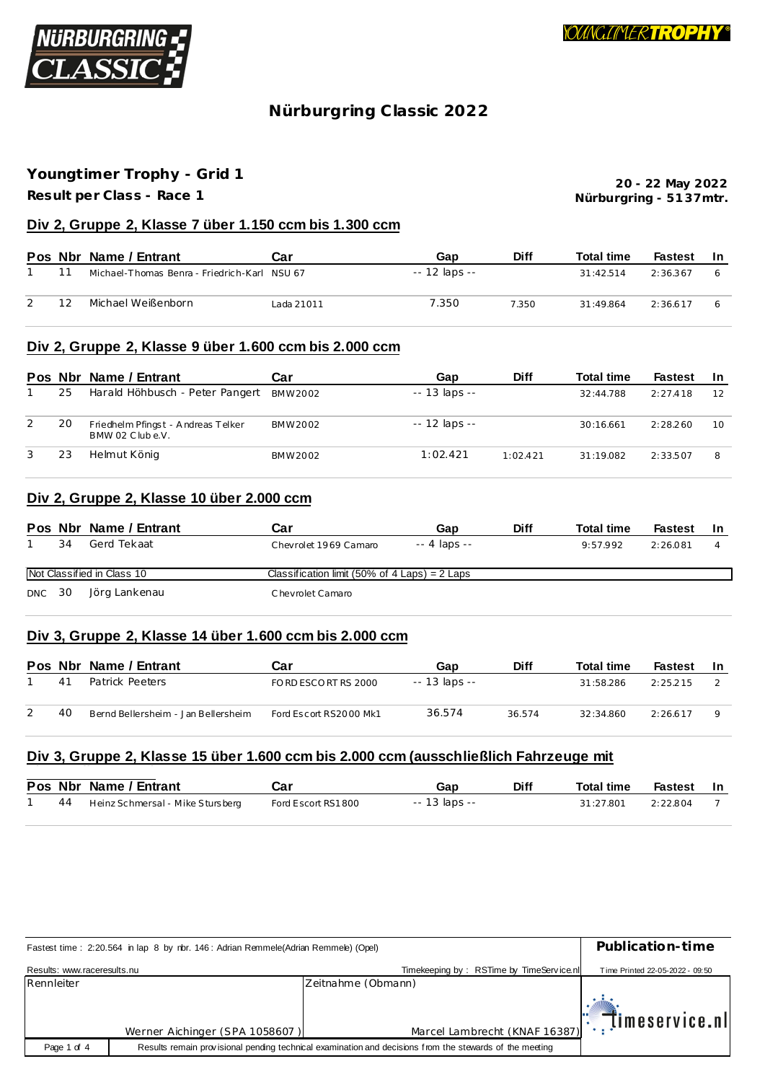

## Nürburgring Classic 2022

## Youngtimer Trophy - Grid 1

Result per Class - Race 1

20 - 22 May 2022 Nürburgring - 5137mtr.

### Div 2, Gruppe 2, Klasse 7 über 1.150 ccm bis 1.300 ccm

|    | Pos Nbr Name / Entrant                       | Car        | Gap           | <b>Diff</b> | <b>Total time</b> | Fastest  | - In |
|----|----------------------------------------------|------------|---------------|-------------|-------------------|----------|------|
|    | Michael-Thomas Benra - Friedrich-Karl NSU 67 |            | -- 12 laps -- |             | 31:42.514         | 2:36.367 |      |
| 12 | Michael Weißenborn                           | Lada 21011 | 7.350         | 7.350       | 31:49.864         | 2:36.617 |      |

### Div 2, Gruppe 2, Klasse 9 über 1.600 ccm bis 2.000 ccm

|   |    | Pos Nbr Name / Entrant                                | Car     | Gap            | <b>Diff</b> | <b>Total time</b> | <b>Fastest</b> | -In |
|---|----|-------------------------------------------------------|---------|----------------|-------------|-------------------|----------------|-----|
|   | 25 | Harald Höhbusch - Peter Pangert                       | BMW2002 | $-13$ laps $-$ |             | 32:44.788         | 2:27.418       | 12  |
| 2 | 20 | Friedhelm Pfingst - Andreas Telker<br>BMW 02 Clube.V. | BMW2002 | -- 12 laps --  |             | 30:16.661         | 2:28.260       | 10  |
| 3 | 23 | Helmut König                                          | BMW2002 | 1:02.421       | 1:02.421    | 31:19.082         | 2:33.507       | 8   |

### Div 2, Gruppe 2, Klasse 10 über 2.000 ccm

|               |    | Pos Nbr Name / Entrant     | Car                                             | Gap           | Diff | <b>Total time</b> | <b>Fastest</b> | -In |
|---------------|----|----------------------------|-------------------------------------------------|---------------|------|-------------------|----------------|-----|
|               | 34 | Gerd Tekaat                | Chevrolet 1969 Camaro                           | $-4$ laps $-$ |      | 9:57.992          | 2:26.081       |     |
|               |    | Not Classified in Class 10 | Classification limit (50% of 4 Laps) = $2$ Laps |               |      |                   |                |     |
| <b>DNC</b> 30 |    | Jörg Lankenau              | Chevrolet Camaro                                |               |      |                   |                |     |

### Div 3, Gruppe 2, Klasse 14 über 1.600 ccm bis 2.000 ccm

|    | Pos Nbr Name / Entrant              | تar                    | Gap           | <b>Diff</b> | <b>Total time</b> | <b>Fastest</b> | -In |
|----|-------------------------------------|------------------------|---------------|-------------|-------------------|----------------|-----|
| 41 | Patrick Peeters                     | FORD ESCORT RS 2000    | -- 13 laps -- |             | 31:58.286         | 2:25.215       |     |
| 40 | Bernd Bellersheim - Jan Bellersheim | Ford Escort RS2000 Mk1 | 36.574        | 36.574      | 32:34.860         | 2:26.617       |     |

### Div 3, Gruppe 2, Klasse 15 über 1.600 ccm bis 2.000 ccm (ausschließlich Fahrzeuge mit

|  | Pos Nbr Name / Entrant              | Car                | Gap           | <b>Diff</b> | <b>Total time</b> | Fastest In |  |
|--|-------------------------------------|--------------------|---------------|-------------|-------------------|------------|--|
|  | 44 Heinz Schmersal - Mike Stursberg | Ford Escort RS1800 | -- 13 laps -- |             | 31:27.801         | 2:22.804   |  |

|                             | Fastest time: 2:20.564 in lap 8 by nbr. 146: Adrian Remmele(Adrian Remmele) (Opel) |                                                                                                         |                                 |  |  |  |
|-----------------------------|------------------------------------------------------------------------------------|---------------------------------------------------------------------------------------------------------|---------------------------------|--|--|--|
| Results: www.raceresults.nu |                                                                                    | Timekeeping by: RSTime by TimeService.nl                                                                | Time Printed 22-05-2022 - 09:50 |  |  |  |
| Rennleiter                  |                                                                                    | Zeitnahme (Obmann)                                                                                      |                                 |  |  |  |
|                             | Werner Aichinger (SPA 1058607)                                                     | Marcel Lambrecht (KNAF 16387): [Imeservice.nl                                                           |                                 |  |  |  |
|                             |                                                                                    |                                                                                                         |                                 |  |  |  |
| Page 1 of 4                 |                                                                                    | Results remain provisional pending technical examination and decisions from the stewards of the meeting |                                 |  |  |  |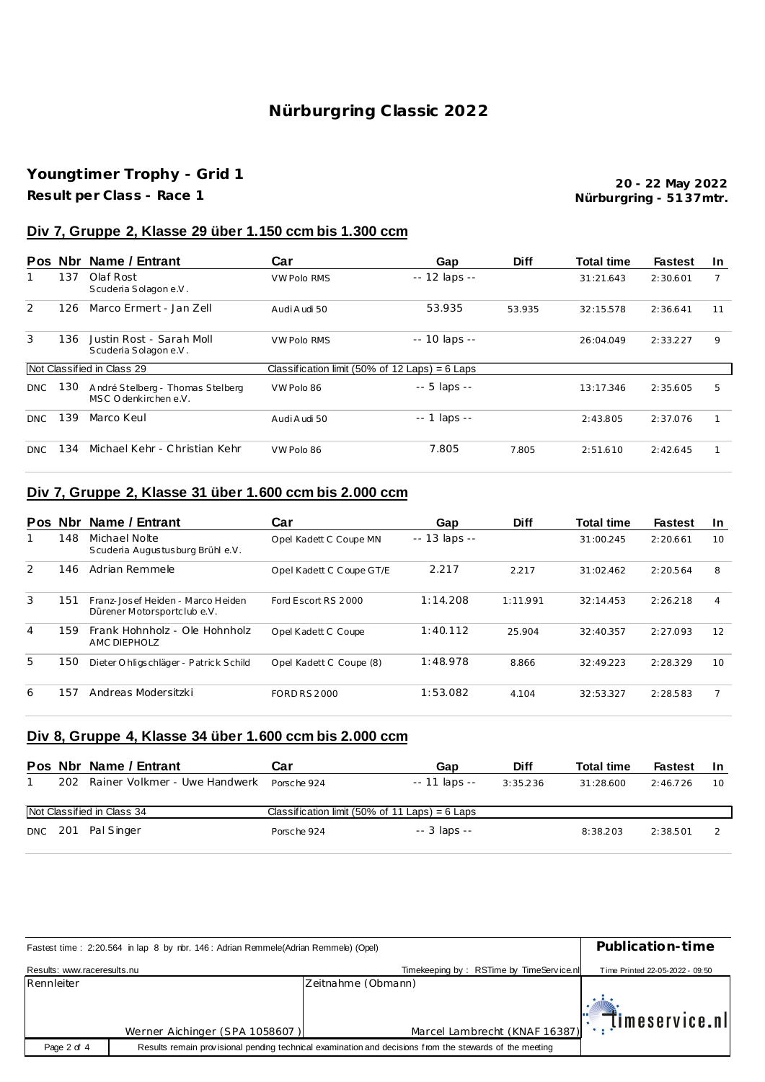## Nürburgring Classic 2022

## Youngtimer Trophy - Grid 1

Result per Class - Race 1

20 - 22 May 2022 Nürburgring - 5137mtr.

### Div 7, Gruppe 2, Klasse 29 über 1.150 ccm bis 1.300 ccm

|            | Pos Nbr | Name / Entrant                                           | Car                | Gap                                              | <b>Diff</b> | <b>Total time</b> | <b>Fastest</b> | <b>In</b> |
|------------|---------|----------------------------------------------------------|--------------------|--------------------------------------------------|-------------|-------------------|----------------|-----------|
|            | 137     | Olaf Rost<br>Scuderia Solagon e.V.                       | <b>VW Polo RMS</b> | $-12$ laps $-$                                   |             | 31:21.643         | 2:30.601       |           |
| 2          | 126     | Marco Ermert - Jan Zell                                  | Audi Audi 50       | 53.935                                           | 53.935      | 32:15.578         | 2:36.641       | 11        |
| 3          | 136     | Justin Rost - Sarah Moll<br>Scuderia Solagon e.V.        | <b>VW Polo RMS</b> | -- 10 laps --                                    |             | 26:04.049         | 2:33.227       | 9         |
|            |         | Not Classified in Class 29                               |                    | Classification limit (50% of 12 Laps) = $6$ Laps |             |                   |                |           |
| <b>DNC</b> | 130     | André Stelberg - Thomas Stelberg<br>MSC Odenkirchen e.V. | VW Polo 86         | -- 5 laps --                                     |             | 13:17.346         | 2:35.605       | 5         |
| <b>DNC</b> | 139     | Marco Keul                                               | Audi Audi 50       | $- - 1$ laps $- -$                               |             | 2:43.805          | 2:37.076       |           |
| DNC        | 134     | Michael Kehr - Christian Kehr                            | VW Polo 86         | 7.805                                            | 7.805       | 2:51.610          | 2:42.645       |           |

## Div 7, Gruppe 2, Klasse 31 über 1.600 ccm bis 2.000 ccm

| <b>Pos</b> | . Nbr | Name / Entrant                                                   | Car                      | Gap                 | <b>Diff</b> | <b>Total time</b> | <b>Fastest</b> | <b>In</b> |
|------------|-------|------------------------------------------------------------------|--------------------------|---------------------|-------------|-------------------|----------------|-----------|
|            | 148   | Michael Nolte<br>Scuderia Augustusburg Brühl e.V.                | Opel Kadett C Coupe MN   | $- - 13$ laps $- -$ |             | 31:00.245         | 2:20.661       | 10        |
| 2          | 146   | Adrian Remmele                                                   | Opel Kadett C Coupe GT/E | 2.217               | 2.217       | 31:02.462         | 2:20.564       | 8         |
| 3          | 151   | Franz-Josef Heiden - Marco Heiden<br>Dürener Motorsportclub e.V. | Ford Escort RS 2000      | 1:14.208            | 1:11.991    | 32:14.453         | 2:26.218       | 4         |
| 4          | 159   | Frank Hohnholz - Ole Hohnholz<br>AMC DIFPHOLZ                    | Opel Kadett C Coupe      | 1:40.112            | 25.904      | 32:40.357         | 2:27.093       | 12        |
| 5          | 150   | Dieter Ohligschläger - Patrick Schild                            | Opel Kadett C Coupe (8)  | 1:48.978            | 8.866       | 32:49.223         | 2:28.329       | 10        |
| 6          | 157   | Andreas Modersitzki                                              | <b>FORD RS 2000</b>      | 1:53.082            | 4.104       | 32:53.327         | 2:28.583       |           |

## Div 8, Gruppe 4, Klasse 34 über 1.600 ccm bis 2.000 ccm

|     | Pos Nbr Name / Entrant        | Car                                              | Gap           | <b>Diff</b> | <b>Total time</b> | <b>Fastest</b> |    |
|-----|-------------------------------|--------------------------------------------------|---------------|-------------|-------------------|----------------|----|
| 202 | Rainer Volkmer - Uwe Handwerk | Porsche 924                                      | -- 11 laps -- | 3:35.236    | 31:28.600         | 2:46.726       | 10 |
|     | Not Classified in Class 34    | Classification limit (50% of 11 Laps) = $6$ Laps |               |             |                   |                |    |
|     | DNC 201 Pal Singer            | Porsche 924                                      | $-3$ laps $-$ |             | 8:38.203          | 2:38.501       |    |

| Fastest time: 2:20.564 in lap 8 by nbr. 146: Adrian Remmele(Adrian Remmele) (Opel) | Publication-time               |                                                                                                         |                                 |
|------------------------------------------------------------------------------------|--------------------------------|---------------------------------------------------------------------------------------------------------|---------------------------------|
| Results: www.raceresults.nu                                                        |                                | Timekeeping by: RSTime by TimeService.nll                                                               | Time Printed 22-05-2022 - 09:50 |
| Rennleiter                                                                         |                                | Zeitnahme (Obmann)                                                                                      |                                 |
|                                                                                    | Werner Aichinger (SPA 1058607) | Marcel Lambrecht (KNAF 16387)                                                                           | $\mathbb{T}$ . Timeservice.nl   |
| Page 2 of 4                                                                        |                                | Results remain provisional pending technical examination and decisions from the stewards of the meeting |                                 |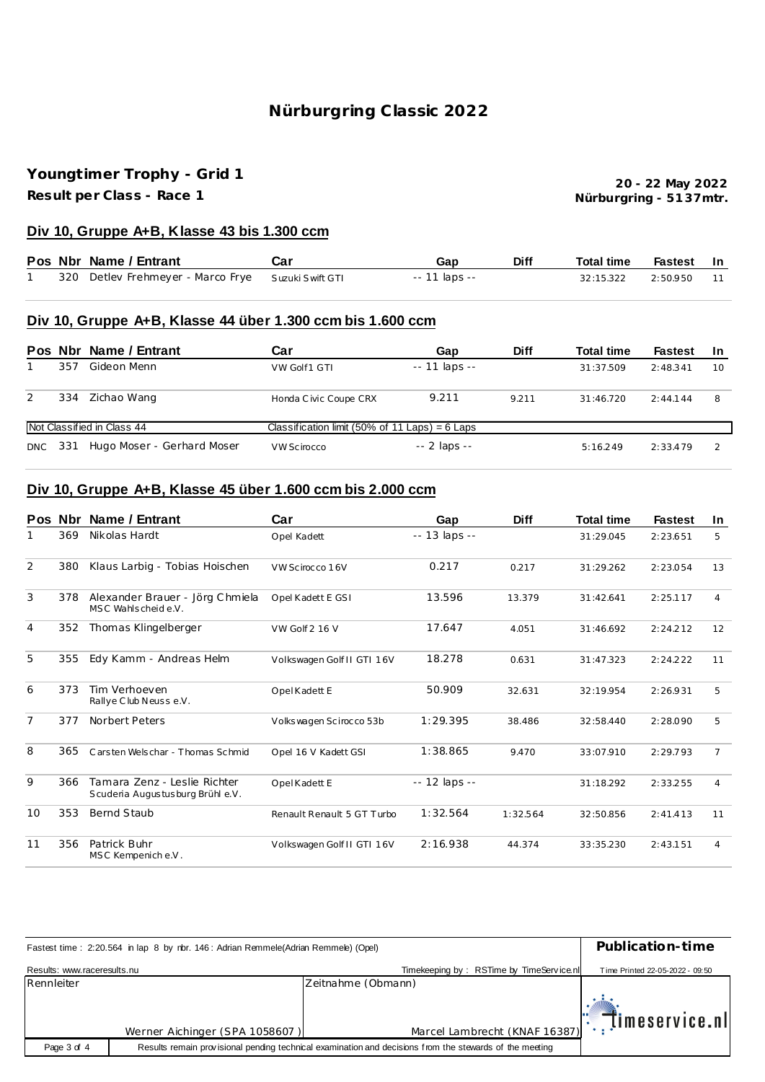## **Nürburgring C lassic 2022**

# **Youngt imer Trophy - Grid 1**

**Result per Class - Race 1**

**Nürburgring - 51 37mtr. 20 - 22 May 2022**

#### **Div 10, Gruppe A+B, Klasse 43 bis 1.300 ccm**

|  | Pos Nbr Name / Entrant                             | Car | Gap           | <b>Diff</b> | Total time         | Fastest In |    |
|--|----------------------------------------------------|-----|---------------|-------------|--------------------|------------|----|
|  | 320 Detlev Frehmeyer - Marco Frye Suzuki Swift GTI |     | -- 11 laps -- |             | 32:15.322 2:50.950 |            | 11 |

#### **Div 10, Gruppe A+B, Klasse 44 über 1.300 ccm bis 1.600 ccm**

|            |     | Pos Nbr Name / Entrant     | Car                                              | Gap                 | <b>Diff</b> | <b>Total time</b> | <b>Fastest</b> | -In |
|------------|-----|----------------------------|--------------------------------------------------|---------------------|-------------|-------------------|----------------|-----|
|            | 357 | Gideon Menn                | VW Golf1 GTI                                     | $- - 11$ laps $- -$ |             | 31:37.509         | 2:48.341       | 10  |
| 2          | 334 | Zichao Wang                | Honda Civic Coupe CRX                            | 9.211               | 9.211       | 31:46.720         | 2:44.144       | 8   |
|            |     | Not Classified in Class 44 | Classification limit (50% of 11 Laps) = $6$ Laps |                     |             |                   |                |     |
| <b>DNC</b> | 331 | Hugo Moser - Gerhard Moser | VW Scirocco                                      | $-2$ laps $-$       |             | 5:16.249          | 2:33.479       |     |

## **Div 10, Gruppe A+B, Klasse 45 über 1.600 ccm bis 2.000 ccm**

|                | Pos Nbr | Name / Entrant                                                   | Car                        | Gap            | <b>Diff</b> | <b>Total time</b> | <b>Fastest</b> | In.            |
|----------------|---------|------------------------------------------------------------------|----------------------------|----------------|-------------|-------------------|----------------|----------------|
|                | 369     | Nikolas Hardt                                                    | Opel Kadett                | -- 13 laps --  |             | 31:29.045         | 2:23.651       | 5              |
| 2              | 380     | Klaus Larbig - Tobias Hoischen                                   | VW Scirocco 16V            | 0.217          | 0.217       | 31:29.262         | 2:23.054       | 13             |
| 3              | 378     | Alexander Brauer - Jörg Chmiela<br>MSC Wahlscheide.V.            | Opel Kadett E GSI          | 13.596         | 13.379      | 31:42.641         | 2:25.117       | 4              |
| $\overline{4}$ | 352     | Thomas Klingelberger                                             | VW Golf 2 16 V             | 17.647         | 4.051       | 31:46.692         | 2:24.212       | 12             |
| 5              | 355     | Edy Kamm - Andreas Helm                                          | Volkswagen Golf II GTI 16V | 18.278         | 0.631       | 31:47.323         | 2:24.222       | 11             |
| 6              | 373     | Tim Verhoeven<br>Rallye Club Neusse.V.                           | Opel Kadett E              | 50.909         | 32.631      | 32:19.954         | 2:26.931       | 5              |
| 7              | 377     | Norbert Peters                                                   | Volks wagen Scirocco 53b   | 1:29.395       | 38.486      | 32:58.440         | 2:28.090       | 5              |
| 8              | 365     | Carsten Welschar - Thomas Schmid                                 | Opel 16 V Kadett GSI       | 1:38.865       | 9.470       | 33:07.910         | 2:29.793       | $\overline{7}$ |
| 9              | 366     | Tamara Zenz - Leslie Richter<br>Scuderia Augustusburg Brühl e.V. | Opel Kadett E              | $-12$ laps $-$ |             | 31:18.292         | 2:33.255       | 4              |
| 10             | 353     | Bernd Staub                                                      | Renault Renault 5 GT Turbo | 1:32.564       | 1:32.564    | 32:50.856         | 2:41.413       | 11             |
| 11             | 356     | Patrick Buhr<br>MSC Kempenich e.V.                               | Volkswagen Golf II GTI 16V | 2:16.938       | 44.374      | 33:35.230         | 2:43.151       | 4              |

| Fastest time: 2:20.564 in lap 8 by rbr. 146: Adrian Remmele(Adrian Remmele) (Opel) | Publication-time               |                                                                                                         |                                 |  |  |
|------------------------------------------------------------------------------------|--------------------------------|---------------------------------------------------------------------------------------------------------|---------------------------------|--|--|
| Results: www.raceresults.nu                                                        |                                | Timekeeping by: RSTime by TimeService.nl                                                                | Time Printed 22-05-2022 - 09:50 |  |  |
| Rennleiter                                                                         |                                | Zeitnahme (Obmann)                                                                                      |                                 |  |  |
|                                                                                    | Werner Aichinger (SPA 1058607) | Marcel Lambrecht (KNAF 16387): [imeservice.nl                                                           |                                 |  |  |
| Page 3 of 4                                                                        |                                | Results remain provisional pending technical examination and decisions from the stewards of the meeting |                                 |  |  |